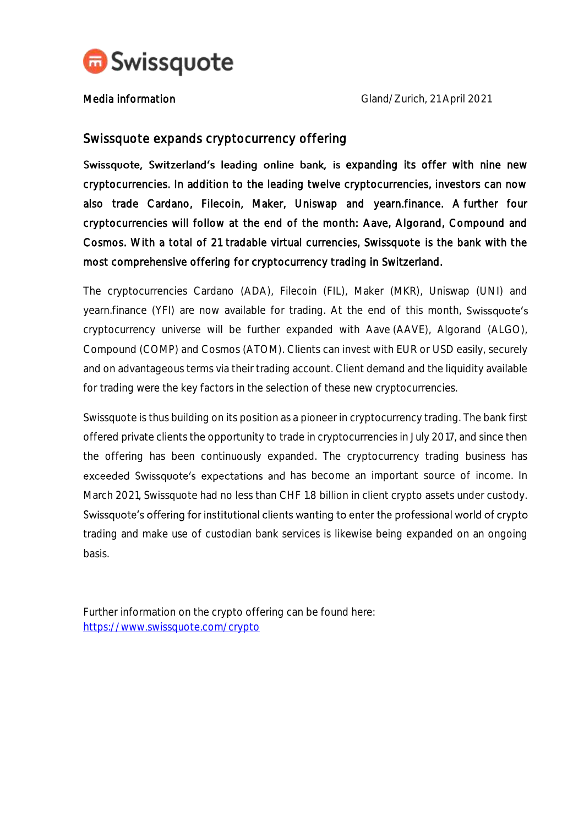

Media information and Cland/Zurich, 21 April 2021

## Swissquote expands cryptocurrency offering

Swissquote, Switzerland's leading online bank, is expanding its offer with nine new cryptocurrencies. In addition to the leading twelve cryptocurrencies, investors can now also trade Cardano, Filecoin, Maker, Uniswap and yearn.finance. A further four cryptocurrencies will follow at the end of the month: Aave, Algorand, Compound and Cosmos. With a total of 21 tradable virtual currencies, Swissquote is the bank with the most comprehensive offering for cryptocurrency trading in Switzerland.

The cryptocurrencies Cardano (ADA), Filecoin (FIL), Maker (MKR), Uniswap (UNI) and yearn.finance (YFI) are now available for trading. At the end of this month, Swissquote's cryptocurrency universe will be further expanded with Aave (AAVE), Algorand (ALGO), Compound (COMP) and Cosmos (ATOM). Clients can invest with EUR or USD easily, securely and on advantageous terms via their trading account. Client demand and the liquidity available for trading were the key factors in the selection of these new cryptocurrencies.

Swissquote is thus building on its position as a pioneer in cryptocurrency trading. The bank first offered private clients the opportunity to trade in cryptocurrencies in July 2017, and since then the offering has been continuously expanded. The cryptocurrency trading business has exceeded Swissquote's expectations and has become an important source of income. In March 2021, Swissquote had no less than CHF 1.8 billion in client crypto assets under custody. Swissquote's offering for institutional clients wanting to enter the professional world of crypto trading and make use of custodian bank services is likewise being expanded on an ongoing basis.

Further information on the crypto offering can be found here: <https://www.swissquote.com/crypto>